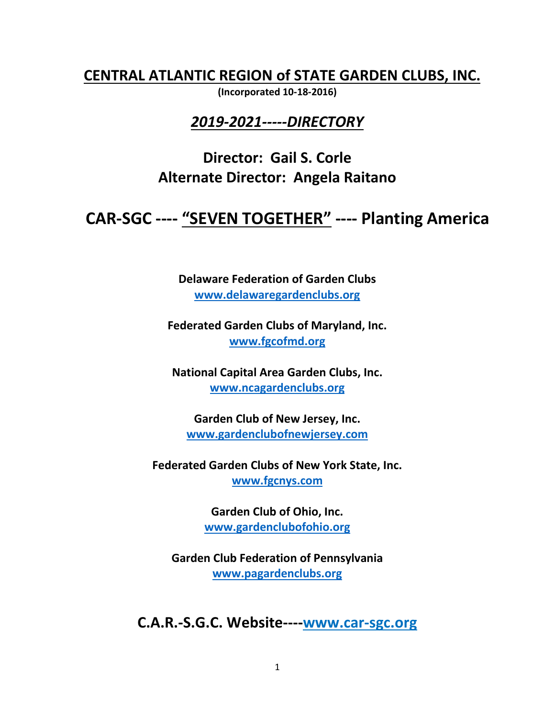**CENTRAL ATLANTIC REGION of STATE GARDEN CLUBS, INC.** 

**(Incorporated 10-18-2016)**

#### *2019-2021-----DIRECTORY*

**Director: Gail S. Corle Alternate Director: Angela Raitano**

# **CAR-SGC ---- "SEVEN TOGETHER" ---- Planting America**

**Delaware Federation of Garden Clubs [www.delawaregardenclubs.org](http://www.delawaregardenclubs.org/)**

**Federated Garden Clubs of Maryland, Inc. [www.fgcofmd.org](http://www.fgcofmd.org/)**

**National Capital Area Garden Clubs, Inc. [www.ncagardenclubs.org](http://www.ncagardenclubs.org/)**

**Garden Club of New Jersey, Inc. [www.gardenclubofnewjersey.com](http://www.gardenclubofnewjersey.com/)**

**Federated Garden Clubs of New York State, Inc. [www.fgcnys.com](http://www.fgcnys.com/)**

> **Garden Club of Ohio, Inc. [www.gardenclubofohio.org](http://www.gardenclubofohio.org/)**

**Garden Club Federation of Pennsylvania [www.pagardenclubs.org](http://www.pagardenclubs.org/)**

**C.A.R.-S.G.C. Website----www.car-sgc.org**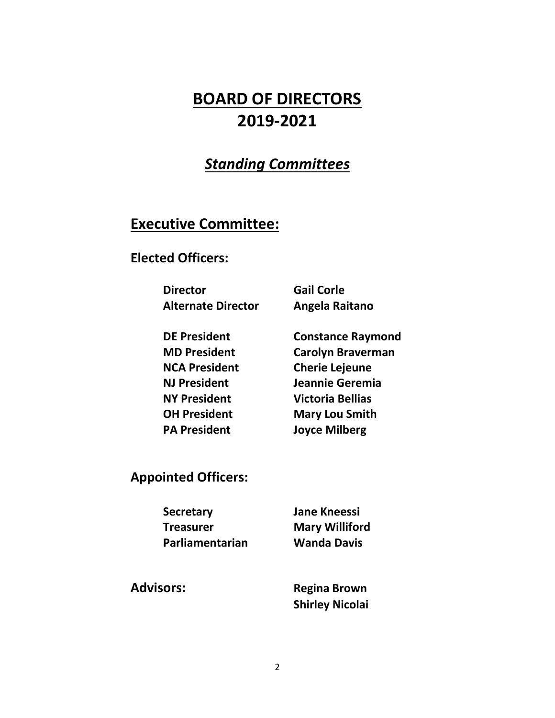# **BOARD OF DIRECTORS 2019-2021**

# *Standing Committees*

## **Executive Committee:**

#### **Elected Officers:**

**Director Gail Corle Alternate Director Angela Raitano**

**DE President Constance Raymond MD President Carolyn Braverman NCA President Cherie Lejeune NJ President Jeannie Geremia NY President Victoria Bellias OH President Mary Lou Smith PA President Joyce Milberg**

**Appointed Officers:**

 **Secretary Jane Kneessi Treasurer Mary Williford Parliamentarian Wanda Davis**

**Advisors: Regina Brown Shirley Nicolai**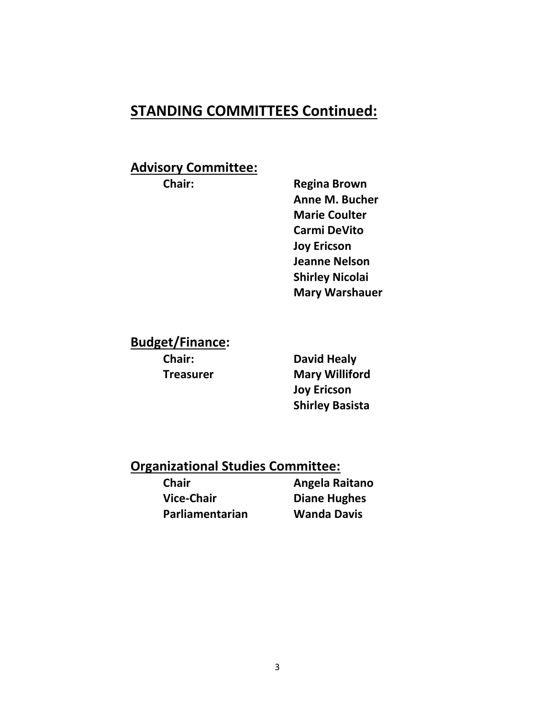# **STANDING COMMITTEES Continued:**

#### **Advisory Committee:**

**Chair: Regina Brown Anne M. Bucher Marie Coulter Carmi DeVito Joy Ericson Jeanne Nelson Shirley Nicolai Mary Warshauer**

**Budget/Finance:**

**Chair: David Healy Treasurer Mary Williford Joy Ericson Shirley Basista**

#### **Organizational Studies Committee:**

**Vice-Chair Diane Hughes Parliamentarian Wanda Davis**

**Chair Angela Raitano**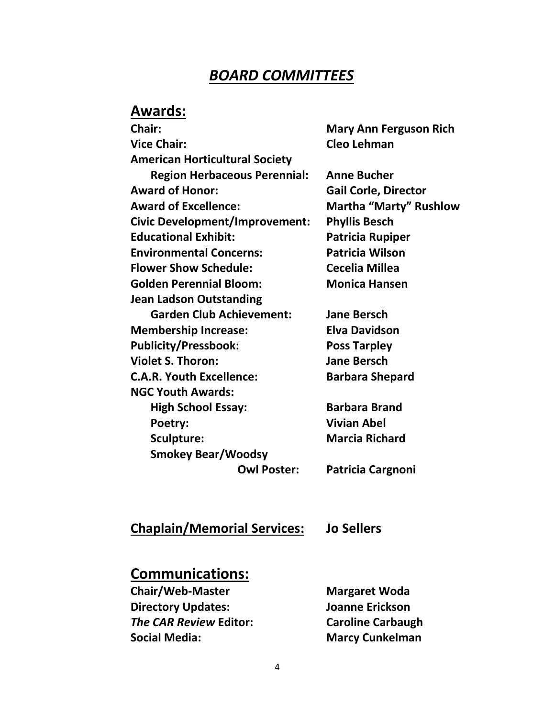## *BOARD COMMITTEES*

# **Awards:**

| Chair:                                | <b>Mary Ann Ferguson Rich</b> |
|---------------------------------------|-------------------------------|
| <b>Vice Chair:</b>                    | Cleo Lehman                   |
| <b>American Horticultural Society</b> |                               |
| <b>Region Herbaceous Perennial:</b>   | <b>Anne Bucher</b>            |
| <b>Award of Honor:</b>                | <b>Gail Corle, Director</b>   |
| <b>Award of Excellence:</b>           | <b>Martha "Marty" Rushlow</b> |
| <b>Civic Development/Improvement:</b> | <b>Phyllis Besch</b>          |
| <b>Educational Exhibit:</b>           | <b>Patricia Rupiper</b>       |
| <b>Environmental Concerns:</b>        | <b>Patricia Wilson</b>        |
| <b>Flower Show Schedule:</b>          | <b>Cecelia Millea</b>         |
| <b>Golden Perennial Bloom:</b>        | <b>Monica Hansen</b>          |
| <b>Jean Ladson Outstanding</b>        |                               |
| <b>Garden Club Achievement:</b>       | <b>Jane Bersch</b>            |
| <b>Membership Increase:</b>           | <b>Elva Davidson</b>          |
| <b>Publicity/Pressbook:</b>           | <b>Poss Tarpley</b>           |
| <b>Violet S. Thoron:</b>              | <b>Jane Bersch</b>            |
| <b>C.A.R. Youth Excellence:</b>       | <b>Barbara Shepard</b>        |
| <b>NGC Youth Awards:</b>              |                               |
| <b>High School Essay:</b>             | <b>Barbara Brand</b>          |
| Poetry:                               | <b>Vivian Abel</b>            |
| Sculpture:                            | <b>Marcia Richard</b>         |
| <b>Smokey Bear/Woodsy</b>             |                               |
| <b>Owl Poster:</b>                    | Patricia Cargnoni             |
|                                       |                               |

#### **Chaplain/Memorial Services: Jo Sellers**

## **Communications:**

**Chair/Web-Master Margaret Woda Directory Updates: Joanne Erickson** *The CAR Review* **Editor: Caroline Carbaugh Social Media: Marcy Cunkelman**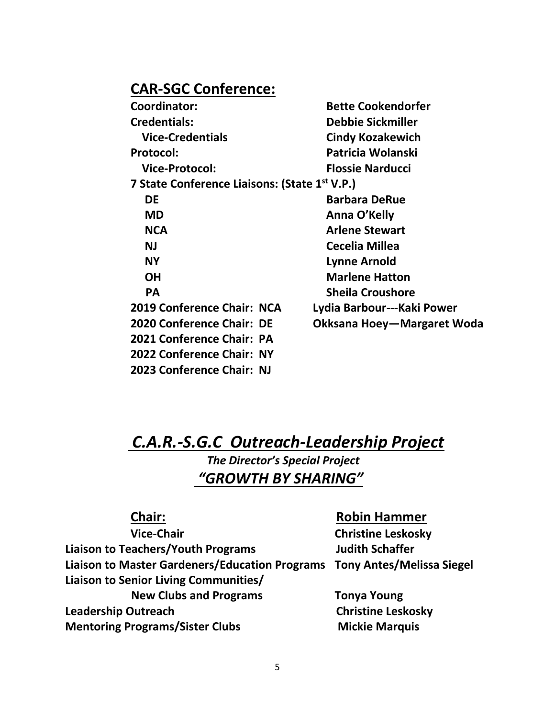### **CAR-SGC Conference:**

| Coordinator:               | <b>Bette Cookendorfer</b>                                 |  |
|----------------------------|-----------------------------------------------------------|--|
| <b>Credentials:</b>        | <b>Debbie Sickmiller</b>                                  |  |
| <b>Vice-Credentials</b>    | <b>Cindy Kozakewich</b>                                   |  |
| Protocol:                  | Patricia Wolanski                                         |  |
| <b>Vice-Protocol:</b>      | <b>Flossie Narducci</b>                                   |  |
|                            | 7 State Conference Liaisons: (State 1 <sup>st</sup> V.P.) |  |
| DE                         | <b>Barbara DeRue</b>                                      |  |
| <b>MD</b>                  | Anna O'Kelly                                              |  |
| <b>NCA</b>                 | <b>Arlene Stewart</b>                                     |  |
| <b>NJ</b>                  | Cecelia Millea                                            |  |
| <b>NY</b>                  | Lynne Arnold                                              |  |
| <b>OH</b>                  | <b>Marlene Hatton</b>                                     |  |
| <b>PA</b>                  | <b>Sheila Croushore</b>                                   |  |
| 2019 Conference Chair: NCA | Lydia Barbour---Kaki Power                                |  |
| 2020 Conference Chair: DE  | Okksana Hoey—Margaret Woda                                |  |
| 2021 Conference Chair: PA  |                                                           |  |
| 2022 Conference Chair: NY  |                                                           |  |

# *C.A.R.-S.G.C Outreach-Leadership Project*

*The Director's Special Project "GROWTH BY SHARING"*

**Vice-Chair Christine Leskosky Liaison to Teachers/Youth Programs Judith Schaffer Liaison to Master Gardeners/Education Programs Tony Antes/Melissa Siegel Liaison to Senior Living Communities/ New Clubs and Programs Tonya Young Leadership Outreach Christine Leskosky**

**2023 Conference Chair: NJ**

**Mentoring Programs/Sister Clubs Mickie Marquis** 

#### **Chair: Robin Hammer**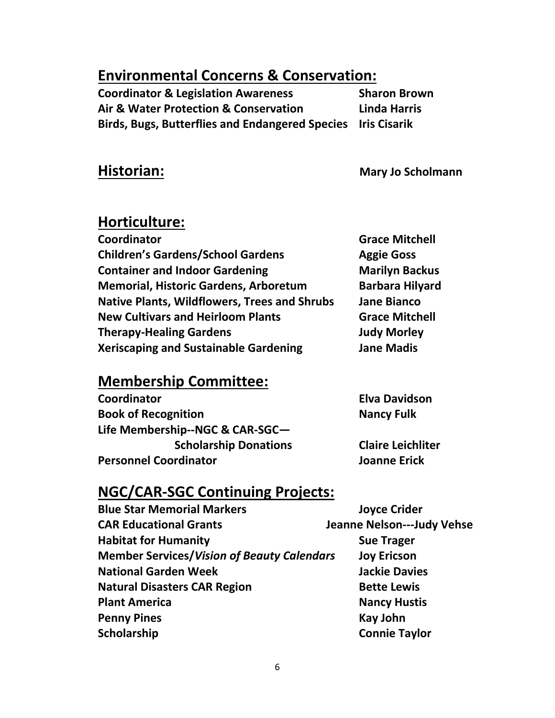# **Environmental Concerns & Conservation:**

**Coordinator & Legislation Awareness Sharon Brown Air & Water Protection & Conservation Linda Harris Birds, Bugs, Butterflies and Endangered Species Iris Cisarik**

**Historian: Mary Jo Scholmann** 

### **Horticulture:**

**Coordinator Grace Mitchell Children's Gardens/School Gardens Aggie Goss Container and Indoor Gardening Theory Marilyn Backus Memorial, Historic Gardens, Arboretum Barbara Hilyard Native Plants, Wildflowers, Trees and Shrubs Jane Bianco New Cultivars and Heirloom Plants <b>Grace Mitchell Therapy-Healing Gardens Judy Morley Xeriscaping and Sustainable Gardening Jane Madis**

## **Membership Committee:**

**Coordinator Elva Davidson Book of Recognition Nancy Fulk Life Membership--NGC & CAR-SGC— Scholarship Donations Claire Leichliter Personnel Coordinator Joanne Erick**

## **NGC/CAR-SGC Continuing Projects:**

| <b>Blue Star Memorial Markers</b>                 | <b>Joyce Crider</b>               |
|---------------------------------------------------|-----------------------------------|
| <b>CAR Educational Grants</b>                     | <b>Jeanne Nelson---Judy Vehse</b> |
| <b>Habitat for Humanity</b>                       | <b>Sue Trager</b>                 |
| <b>Member Services/Vision of Beauty Calendars</b> | <b>Joy Ericson</b>                |
| <b>National Garden Week</b>                       | <b>Jackie Davies</b>              |
| <b>Natural Disasters CAR Region</b>               | <b>Bette Lewis</b>                |
| <b>Plant America</b>                              | <b>Nancy Hustis</b>               |
| <b>Penny Pines</b>                                | <b>Kay John</b>                   |
| Scholarship                                       | <b>Connie Taylor</b>              |